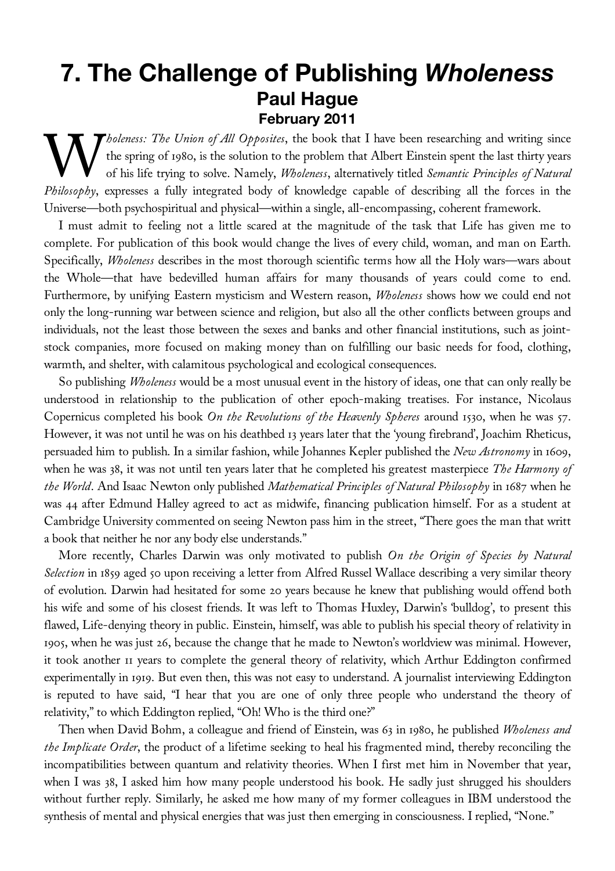## **7. The Challenge of Publishing** *Wholeness* **Paul Hague February 2011**

*holeness: The Union of All Opposites*, the book that I have been researching and writing since the spring of 1980, is the solution to the problem that Albert Einstein spent the last thirty years of his life trying to solve. Namely, *Wholeness*, alternatively titled *Semantic Principles of Natural Pholeness: The Union of All Opposites*, the book that I have been researching and writing since<br>the spring of 1980, is the solution to the problem that Albert Einstein spent the last thirty years<br>of his life trying to sol Universe—both psychospiritual and physical—within a single, all-encompassing, coherent framework.

I must admit to feeling not a little scared at the magnitude of the task that Life has given me to complete. For publication of this book would change the lives of every child, woman, and man on Earth. Specifically, *Wholeness* describes in the most thorough scientific terms how all the Holy wars—wars about the Whole—that have bedevilled human affairs for many thousands of years could come to end. Furthermore, by unifying Eastern mysticism and Western reason, *Wholeness* shows how we could end not only the long-running war between science and religion, but also all the other conflicts between groups and individuals, not the least those between the sexes and banks and other financial institutions, such as jointstock companies, more focused on making money than on fulfilling our basic needs for food, clothing, warmth, and shelter, with calamitous psychological and ecological consequences.

So publishing *Wholeness* would be a most unusual event in the history of ideas, one that can only really be understood in relationship to the publication of other epoch-making treatises. For instance, Nicolaus Copernicus completed his book *On the Revolutions of the Heavenly Spheres* around 1530, when he was 57. However, it was not until he was on his deathbed 13 years later that the 'young firebrand', Joachim Rheticus, persuaded him to publish. In a similar fashion, while Johannes Kepler published the *New Astronomy* in 1609, when he was 38, it was not until ten years later that he completed his greatest masterpiece *The Harmony of the World*. And Isaac Newton only published *Mathematical Principles of Natural Philosophy* in 1687 when he was 44 after Edmund Halley agreed to act as midwife, financing publication himself. For as a student at Cambridge University commented on seeing Newton pass him in the street, "There goes the man that writt a book that neither he nor any body else understands."

More recently, Charles Darwin was only motivated to publish *On the Origin of Species by Natural Selection* in 1859 aged 50 upon receiving a letter from Alfred Russel Wallace describing a very similar theory of evolution. Darwin had hesitated for some 20 years because he knew that publishing would offend both his wife and some of his closest friends. It was left to Thomas Huxley, Darwin's 'bulldog', to present this flawed, Life-denying theory in public. Einstein, himself, was able to publish his special theory of relativity in 1905, when he was just 26, because the change that he made to Newton's worldview was minimal. However, it took another 11 years to complete the general theory of relativity, which Arthur Eddington confirmed experimentally in 1919. But even then, this was not easy to understand. A journalist interviewing Eddington is reputed to have said, "I hear that you are one of only three people who understand the theory of relativity," to which Eddington replied, "Oh! Who is the third one?"

Then when David Bohm, a colleague and friend of Einstein, was 63 in 1980, he published *Wholeness and the Implicate Order*, the product of a lifetime seeking to heal his fragmented mind, thereby reconciling the incompatibilities between quantum and relativity theories. When I first met him in November that year, when I was 38, I asked him how many people understood his book. He sadly just shrugged his shoulders without further reply. Similarly, he asked me how many of my former colleagues in IBM understood the synthesis of mental and physical energies that was just then emerging in consciousness. I replied, "None."